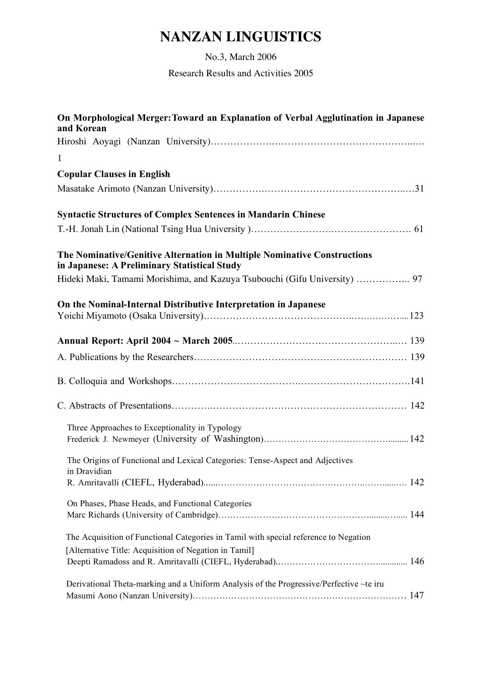## **NANZAN LINGUISTICS**

No.3, March 2006

Research Results and Activities 2005

| On Morphological Merger: Toward an Explanation of Verbal Agglutination in Japanese<br>and Korean                         |  |
|--------------------------------------------------------------------------------------------------------------------------|--|
| $\mathbf{1}$                                                                                                             |  |
| <b>Copular Clauses in English</b>                                                                                        |  |
|                                                                                                                          |  |
|                                                                                                                          |  |
| <b>Syntactic Structures of Complex Sentences in Mandarin Chinese</b>                                                     |  |
|                                                                                                                          |  |
| The Nominative/Genitive Alternation in Multiple Nominative Constructions<br>in Japanese: A Preliminary Statistical Study |  |
| Hideki Maki, Tamami Morishima, and Kazuya Tsubouchi (Gifu University)  97                                                |  |
| On the Nominal-Internal Distributive Interpretation in Japanese                                                          |  |
|                                                                                                                          |  |
|                                                                                                                          |  |
|                                                                                                                          |  |
|                                                                                                                          |  |
| Three Approaches to Exceptionality in Typology                                                                           |  |
| The Origins of Functional and Lexical Categories: Tense-Aspect and Adjectives<br>in Dravidian                            |  |
|                                                                                                                          |  |
| On Phases, Phase Heads, and Functional Categories                                                                        |  |
| The Acquisition of Functional Categories in Tamil with special reference to Negation                                     |  |
| [Alternative Title: Acquisition of Negation in Tamil]                                                                    |  |
|                                                                                                                          |  |
| Derivational Theta-marking and a Uniform Analysis of the Progressive/Perfective ~te iru                                  |  |